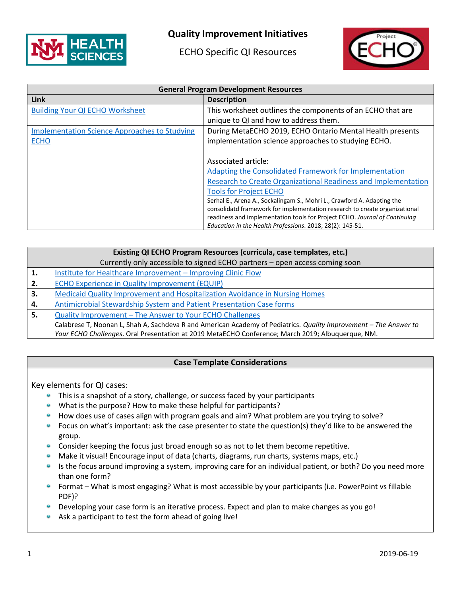

## **Quality Improvement Initiatives**

ECHO Specific QI Resources



| <b>General Program Development Resources</b>         |                                                                                                                                                                                                                                     |
|------------------------------------------------------|-------------------------------------------------------------------------------------------------------------------------------------------------------------------------------------------------------------------------------------|
| Link                                                 | <b>Description</b>                                                                                                                                                                                                                  |
| <b>Building Your QI ECHO Worksheet</b>               | This worksheet outlines the components of an ECHO that are                                                                                                                                                                          |
|                                                      | unique to QI and how to address them.                                                                                                                                                                                               |
| <b>Implementation Science Approaches to Studying</b> | During MetaECHO 2019, ECHO Ontario Mental Health presents                                                                                                                                                                           |
| <b>ECHO</b>                                          | implementation science approaches to studying ECHO.                                                                                                                                                                                 |
|                                                      |                                                                                                                                                                                                                                     |
|                                                      | Associated article:                                                                                                                                                                                                                 |
|                                                      | Adapting the Consolidated Framework for Implementation                                                                                                                                                                              |
|                                                      | Research to Create Organizational Readiness and Implementation                                                                                                                                                                      |
|                                                      | <b>Tools for Project ECHO</b>                                                                                                                                                                                                       |
|                                                      | Serhal E., Arena A., Sockalingam S., Mohri L., Crawford A. Adapting the<br>consolidatd framework for implementation research to create organizational<br>readiness and implementation tools for Project ECHO. Journal of Continuing |
|                                                      | Education in the Health Professions. 2018; 28(2): 145-51.                                                                                                                                                                           |

| Existing QI ECHO Program Resources (curricula, case templates, etc.)        |                                                                                                                   |  |
|-----------------------------------------------------------------------------|-------------------------------------------------------------------------------------------------------------------|--|
| Currently only accessible to signed ECHO partners - open access coming soon |                                                                                                                   |  |
|                                                                             | Institute for Healthcare Improvement - Improving Clinic Flow                                                      |  |
| 2.                                                                          | <b>ECHO Experience in Quality Improvement (EQUIP)</b>                                                             |  |
| З.                                                                          | Medicaid Quality Improvement and Hospitalization Avoidance in Nursing Homes                                       |  |
| 4.                                                                          | Antimicrobial Stewardship System and Patient Presentation Case forms                                              |  |
| 5.                                                                          | Quality Improvement - The Answer to Your ECHO Challenges                                                          |  |
|                                                                             | Calabrese T, Noonan L, Shah A, Sachdeva R and American Academy of Pediatrics. Quality Improvement - The Answer to |  |
|                                                                             | Your ECHO Challenges. Oral Presentation at 2019 MetaECHO Conference; March 2019; Albuquerque, NM.                 |  |

## **Case Template Considerations**

Key elements for QI cases:

- **•** This is a snapshot of a story, challenge, or success faced by your participants
- What is the purpose? How to make these helpful for participants?
- **How does use of cases align with program goals and aim? What problem are you trying to solve?**
- **•** Focus on what's important: ask the case presenter to state the question(s) they'd like to be answered the group.
- **Consider keeping the focus just broad enough so as not to let them become repetitive.**
- $\bullet$ Make it visual! Encourage input of data (charts, diagrams, run charts, systems maps, etc.)
- Is the focus around improving a system, improving care for an individual patient, or both? Do you need more  $\bullet$ than one form?
- Format What is most engaging? What is most accessible by your participants (i.e. PowerPoint vs fillable PDF)?
- **Developing your case form is an iterative process. Expect and plan to make changes as you go!**
- Ask a participant to test the form ahead of going live!